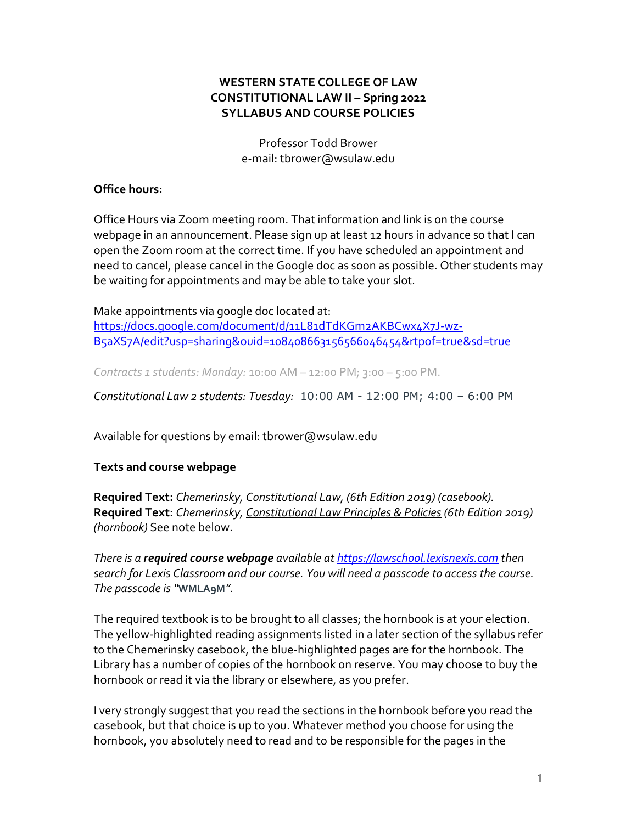## **WESTERN STATE COLLEGE OF LAW CONSTITUTIONAL LAW II – Spring 2022 SYLLABUS AND COURSE POLICIES**

Professor Todd Brower e-mail: tbrower@wsulaw.edu

### **Office hours:**

Office Hours via Zoom meeting room. That information and link is on the course webpage in an announcement. Please sign up at least 12 hours in advance so that I can open the Zoom room at the correct time. If you have scheduled an appointment and need to cancel, please cancel in the Google doc as soon as possible. Other students may be waiting for appointments and may be able to take your slot.

Make appointments via google doc located at: [https://docs.google.com/document/d/11L81dTdKGm2AKBCwx4X7J-wz-](https://docs.google.com/document/d/11L81dTdKGm2AKBCwx4X7J-wz-B5aXS7A/edit?usp=sharing&ouid=108408663156566046454&rtpof=true&sd=true)[B5aXS7A/edit?usp=sharing&ouid=108408663156566046454&rtpof=true&sd=true](https://docs.google.com/document/d/11L81dTdKGm2AKBCwx4X7J-wz-B5aXS7A/edit?usp=sharing&ouid=108408663156566046454&rtpof=true&sd=true)

*Contracts 1 students: Monday:* 10:00 AM – 12:00 PM; 3:00 – 5:00 PM.

*Constitutional Law 2 students: Tuesday:* 10:00 AM - 12:00 PM; 4:00 – 6:00 PM

Available for questions by email: tbrower@wsulaw.edu

### **Texts and course webpage**

**Required Text:** *Chemerinsky, Constitutional Law, (6th Edition 2019) (casebook).* **Required Text:** *Chemerinsky, Constitutional Law Principles & Policies (6th Edition 2019) (hornbook)* See note below.

*There is a required course webpage available at [https://lawschool.lexisnexis.com](https://lawschool.lexisnexis.com/) then search for Lexis Classroom and our course. You will need a passcode to access the course. The passcode is "WMLA9M".* 

The required textbook is to be brought to all classes; the hornbook is at your election. The yellow-highlighted reading assignments listed in a later section of the syllabus refer to the Chemerinsky casebook, the blue-highlighted pages are for the hornbook. The Library has a number of copies of the hornbook on reserve. You may choose to buy the hornbook or read it via the library or elsewhere, as you prefer.

I very strongly suggest that you read the sections in the hornbook before you read the casebook, but that choice is up to you. Whatever method you choose for using the hornbook, you absolutely need to read and to be responsible for the pages in the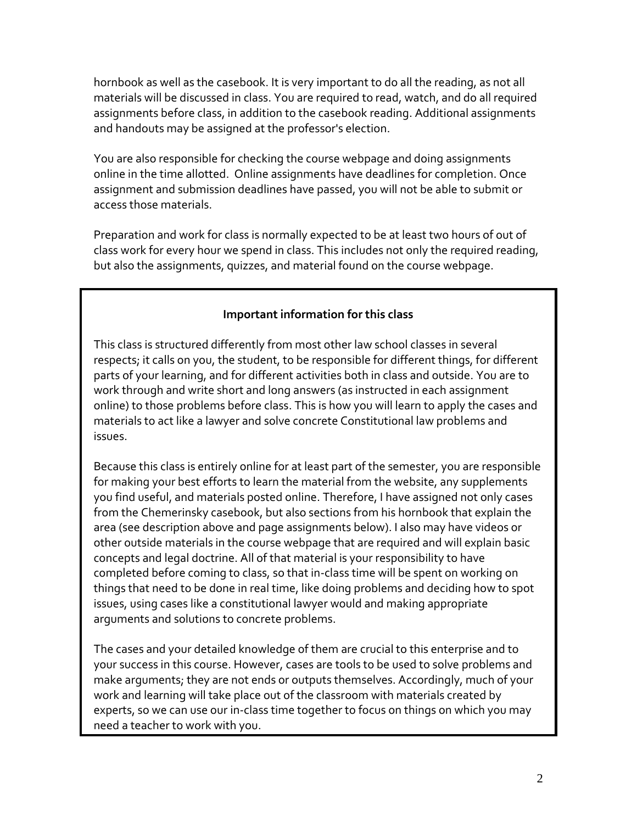hornbook as well as the casebook. It is very important to do all the reading, as not all materials will be discussed in class. You are required to read, watch, and do all required assignments before class, in addition to the casebook reading. Additional assignments and handouts may be assigned at the professor's election.

You are also responsible for checking the course webpage and doing assignments online in the time allotted. Online assignments have deadlines for completion. Once assignment and submission deadlines have passed, you will not be able to submit or access those materials.

Preparation and work for class is normally expected to be at least two hours of out of class work for every hour we spend in class. This includes not only the required reading, but also the assignments, quizzes, and material found on the course webpage.

# **Important information for this class**

This class is structured differently from most other law school classes in several respects; it calls on you, the student, to be responsible for different things, for different parts of your learning, and for different activities both in class and outside. You are to work through and write short and long answers (as instructed in each assignment online) to those problems before class. This is how you will learn to apply the cases and materials to act like a lawyer and solve concrete Constitutional law problems and issues.

Because this class is entirely online for at least part of the semester, you are responsible for making your best efforts to learn the material from the website, any supplements you find useful, and materials posted online. Therefore, I have assigned not only cases from the Chemerinsky casebook, but also sections from his hornbook that explain the area (see description above and page assignments below). I also may have videos or other outside materials in the course webpage that are required and will explain basic concepts and legal doctrine. All of that material is your responsibility to have completed before coming to class, so that in-class time will be spent on working on things that need to be done in real time, like doing problems and deciding how to spot issues, using cases like a constitutional lawyer would and making appropriate arguments and solutions to concrete problems.

The cases and your detailed knowledge of them are crucial to this enterprise and to your success in this course. However, cases are tools to be used to solve problems and make arguments; they are not ends or outputs themselves. Accordingly, much of your work and learning will take place out of the classroom with materials created by experts, so we can use our in-class time together to focus on things on which you may need a teacher to work with you.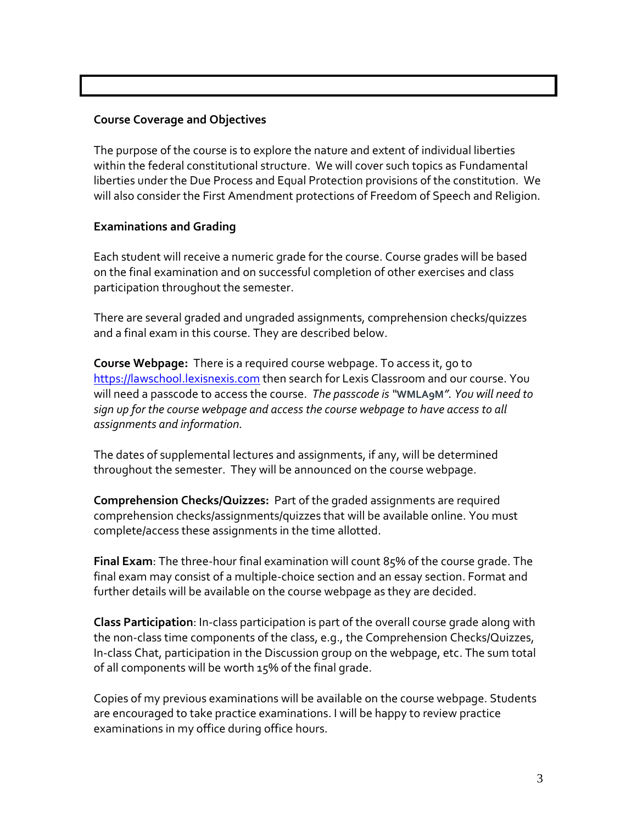## **Course Coverage and Objectives**

The purpose of the course is to explore the nature and extent of individual liberties within the federal constitutional structure. We will cover such topics as Fundamental liberties under the Due Process and Equal Protection provisions of the constitution. We will also consider the First Amendment protections of Freedom of Speech and Religion.

### **Examinations and Grading**

Each student will receive a numeric grade for the course. Course grades will be based on the final examination and on successful completion of other exercises and class participation throughout the semester.

There are several graded and ungraded assignments, comprehension checks/quizzes and a final exam in this course. They are described below.

**Course Webpage:** There is a required course webpage. To access it, go to [https://lawschool.lexisnexis.com](https://lawschool.lexisnexis.com/) then search for Lexis Classroom and our course. You will need a passcode to access the course. *The passcode is "***WMLA9M***". You will need to sign up for the course webpage and access the course webpage to have access to all assignments and information.* 

The dates of supplemental lectures and assignments, if any, will be determined throughout the semester. They will be announced on the course webpage.

**Comprehension Checks/Quizzes:** Part of the graded assignments are required comprehension checks/assignments/quizzes that will be available online. You must complete/access these assignments in the time allotted.

**Final Exam**: The three-hour final examination will count 85% of the course grade. The final exam may consist of a multiple-choice section and an essay section. Format and further details will be available on the course webpage as they are decided.

**Class Participation**: In-class participation is part of the overall course grade along with the non-class time components of the class, e.g., the Comprehension Checks/Quizzes, In-class Chat, participation in the Discussion group on the webpage, etc. The sum total of all components will be worth 15% of the final grade.

Copies of my previous examinations will be available on the course webpage. Students are encouraged to take practice examinations. I will be happy to review practice examinations in my office during office hours.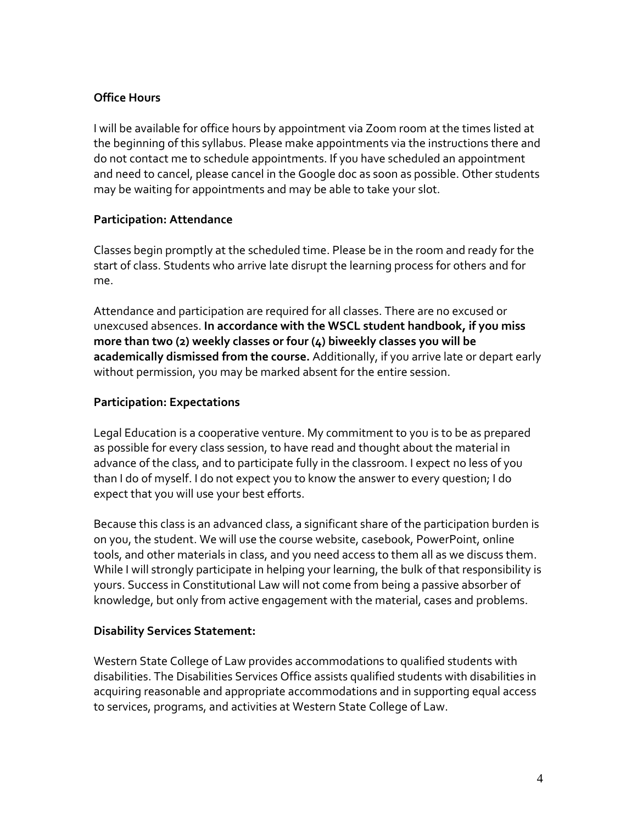# **Office Hours**

I will be available for office hours by appointment via Zoom room at the times listed at the beginning of this syllabus. Please make appointments via the instructions there and do not contact me to schedule appointments. If you have scheduled an appointment and need to cancel, please cancel in the Google doc as soon as possible. Other students may be waiting for appointments and may be able to take your slot.

## **Participation: Attendance**

Classes begin promptly at the scheduled time. Please be in the room and ready for the start of class. Students who arrive late disrupt the learning process for others and for me.

Attendance and participation are required for all classes. There are no excused or unexcused absences. **In accordance with the WSCL student handbook, if you miss more than two (2) weekly classes or four (4) biweekly classes you will be academically dismissed from the course.** Additionally, if you arrive late or depart early without permission, you may be marked absent for the entire session.

# **Participation: Expectations**

Legal Education is a cooperative venture. My commitment to you is to be as prepared as possible for every class session, to have read and thought about the material in advance of the class, and to participate fully in the classroom. I expect no less of you than I do of myself. I do not expect you to know the answer to every question; I do expect that you will use your best efforts.

Because this class is an advanced class, a significant share of the participation burden is on you, the student. We will use the course website, casebook, PowerPoint, online tools, and other materials in class, and you need access to them all as we discuss them. While I will strongly participate in helping your learning, the bulk of that responsibility is yours. Success in Constitutional Law will not come from being a passive absorber of knowledge, but only from active engagement with the material, cases and problems.

### **Disability Services Statement:**

Western State College of Law provides accommodations to qualified students with disabilities. The Disabilities Services Office assists qualified students with disabilities in acquiring reasonable and appropriate accommodations and in supporting equal access to services, programs, and activities at Western State College of Law.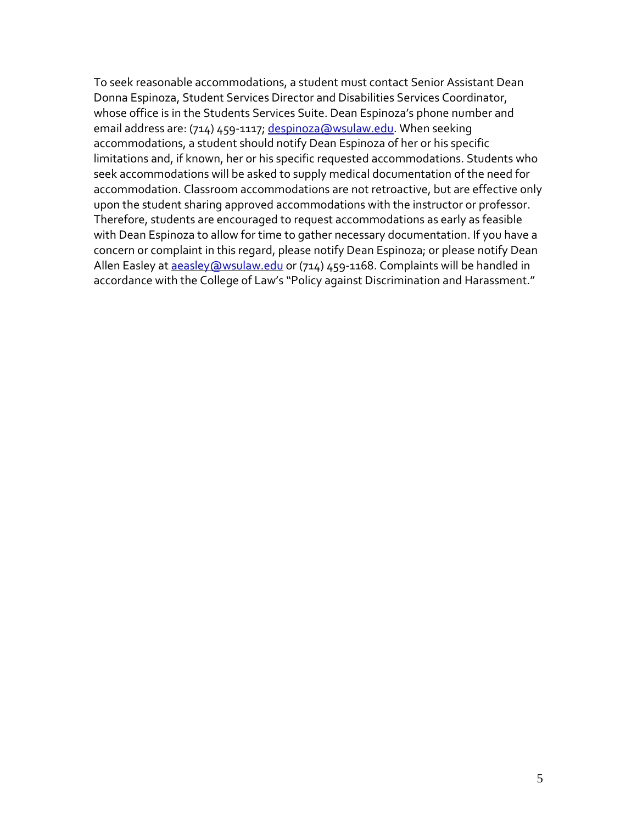To seek reasonable accommodations, a student must contact Senior Assistant Dean Donna Espinoza, Student Services Director and Disabilities Services Coordinator, whose office is in the Students Services Suite. Dean Espinoza's phone number and email address are: (714) 459-1117[; despinoza@wsulaw.edu.](mailto:despinoza@wsulaw.edu) When seeking accommodations, a student should notify Dean Espinoza of her or his specific limitations and, if known, her or his specific requested accommodations. Students who seek accommodations will be asked to supply medical documentation of the need for accommodation. Classroom accommodations are not retroactive, but are effective only upon the student sharing approved accommodations with the instructor or professor. Therefore, students are encouraged to request accommodations as early as feasible with Dean Espinoza to allow for time to gather necessary documentation. If you have a concern or complaint in this regard, please notify Dean Espinoza; or please notify Dean Allen Easley a[t aeasley@wsulaw.edu](mailto:aeasley@wsulaw.edu) or (714) 459-1168. Complaints will be handled in accordance with the College of Law's "Policy against Discrimination and Harassment."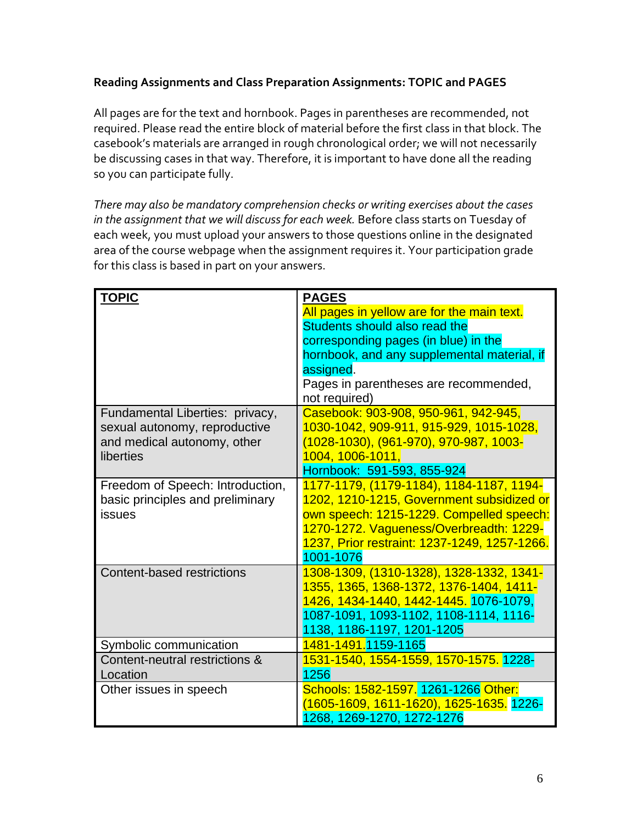# **Reading Assignments and Class Preparation Assignments: TOPIC and PAGES**

All pages are for the text and hornbook. Pages in parentheses are recommended, not required. Please read the entire block of material before the first class in that block. The casebook's materials are arranged in rough chronological order; we will not necessarily be discussing cases in that way. Therefore, it is important to have done all the reading so you can participate fully.

*There may also be mandatory comprehension checks or writing exercises about the cases in the assignment that we will discuss for each week.* Before class starts on Tuesday of each week, you must upload your answers to those questions online in the designated area of the course webpage when the assignment requires it. Your participation grade for this class is based in part on your answers.

| <b>TOPIC</b>                     | <b>PAGES</b>                                 |
|----------------------------------|----------------------------------------------|
|                                  | All pages in yellow are for the main text.   |
|                                  | Students should also read the                |
|                                  | corresponding pages (in blue) in the         |
|                                  | hornbook, and any supplemental material, if  |
|                                  | assigned.                                    |
|                                  | Pages in parentheses are recommended,        |
|                                  | not required)                                |
| Fundamental Liberties: privacy,  | Casebook: 903-908, 950-961, 942-945,         |
| sexual autonomy, reproductive    | 1030-1042, 909-911, 915-929, 1015-1028,      |
| and medical autonomy, other      | (1028-1030), (961-970), 970-987, 1003-       |
| liberties                        | 1004, 1006-1011,                             |
|                                  | Hornbook: 591-593, 855-924                   |
| Freedom of Speech: Introduction, | 1177-1179, (1179-1184), 1184-1187, 1194-     |
| basic principles and preliminary | 1202, 1210-1215, Government subsidized or    |
| issues                           | own speech: 1215-1229. Compelled speech:     |
|                                  | 1270-1272. Vagueness/Overbreadth: 1229-      |
|                                  | 1237, Prior restraint: 1237-1249, 1257-1266. |
|                                  | 1001-1076                                    |
| Content-based restrictions       | 1308-1309, (1310-1328), 1328-1332, 1341-     |
|                                  | 1355, 1365, 1368-1372, 1376-1404, 1411-      |
|                                  | 1426, 1434-1440, 1442-1445. 1076-1079,       |
|                                  | 1087-1091, 1093-1102, 1108-1114, 1116-       |
|                                  | 1138, 1186-1197, 1201-1205                   |
| Symbolic communication           | 1481-1491.1159-1165                          |
| Content-neutral restrictions &   | 1531-1540, 1554-1559, 1570-1575. 1228-       |
| Location                         | 1256                                         |
| Other issues in speech           | Schools: 1582-1597. 1261-1266 Other:         |
|                                  | (1605-1609, 1611-1620), 1625-1635. 1226-     |
|                                  | 1268, 1269-1270, 1272-1276                   |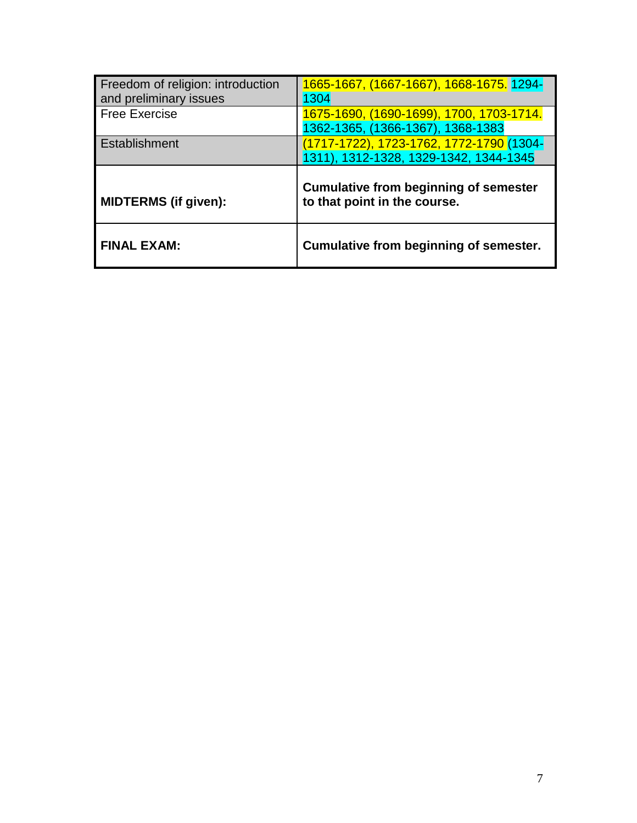| Freedom of religion: introduction<br>and preliminary issues | 1665-1667, (1667-1667), 1668-1675. 1294-<br>1304                                   |
|-------------------------------------------------------------|------------------------------------------------------------------------------------|
| <b>Free Exercise</b>                                        | 1675-1690, (1690-1699), 1700, 1703-1714.<br>1362-1365, (1366-1367), 1368-1383      |
| Establishment                                               | (1717-1722), 1723-1762, 1772-1790 (1304-<br>1311), 1312-1328, 1329-1342, 1344-1345 |
|                                                             | <b>Cumulative from beginning of semester</b>                                       |
| <b>MIDTERMS (if given):</b>                                 | to that point in the course.                                                       |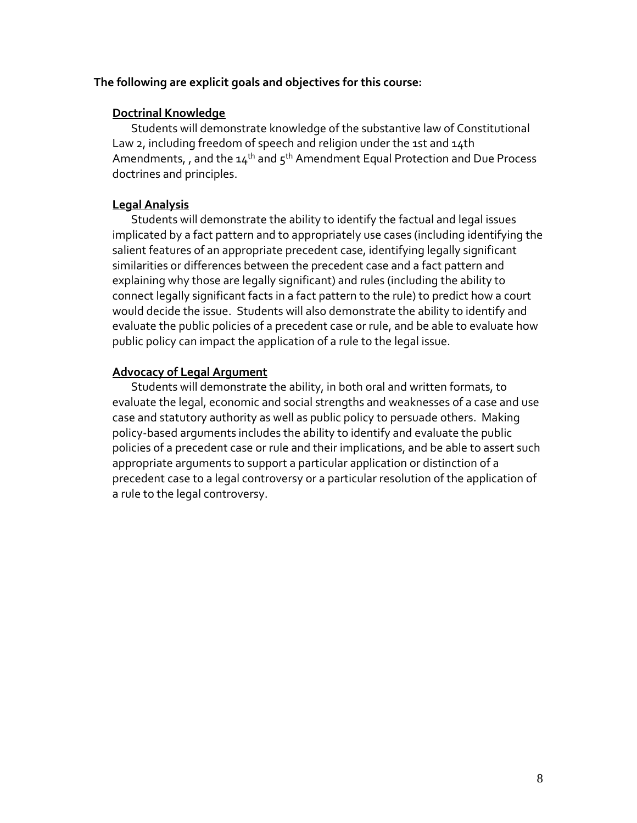#### **The following are explicit goals and objectives for this course:**

#### **Doctrinal Knowledge**

Students will demonstrate knowledge of the substantive law of Constitutional Law 2, including freedom of speech and religion under the 1st and 14th Amendments, , and the  $14^{th}$  and  $5^{th}$  Amendment Equal Protection and Due Process doctrines and principles.

### **Legal Analysis**

Students will demonstrate the ability to identify the factual and legal issues implicated by a fact pattern and to appropriately use cases (including identifying the salient features of an appropriate precedent case, identifying legally significant similarities or differences between the precedent case and a fact pattern and explaining why those are legally significant) and rules (including the ability to connect legally significant facts in a fact pattern to the rule) to predict how a court would decide the issue. Students will also demonstrate the ability to identify and evaluate the public policies of a precedent case or rule, and be able to evaluate how public policy can impact the application of a rule to the legal issue.

## **Advocacy of Legal Argument**

Students will demonstrate the ability, in both oral and written formats, to evaluate the legal, economic and social strengths and weaknesses of a case and use case and statutory authority as well as public policy to persuade others. Making policy-based arguments includes the ability to identify and evaluate the public policies of a precedent case or rule and their implications, and be able to assert such appropriate arguments to support a particular application or distinction of a precedent case to a legal controversy or a particular resolution of the application of a rule to the legal controversy.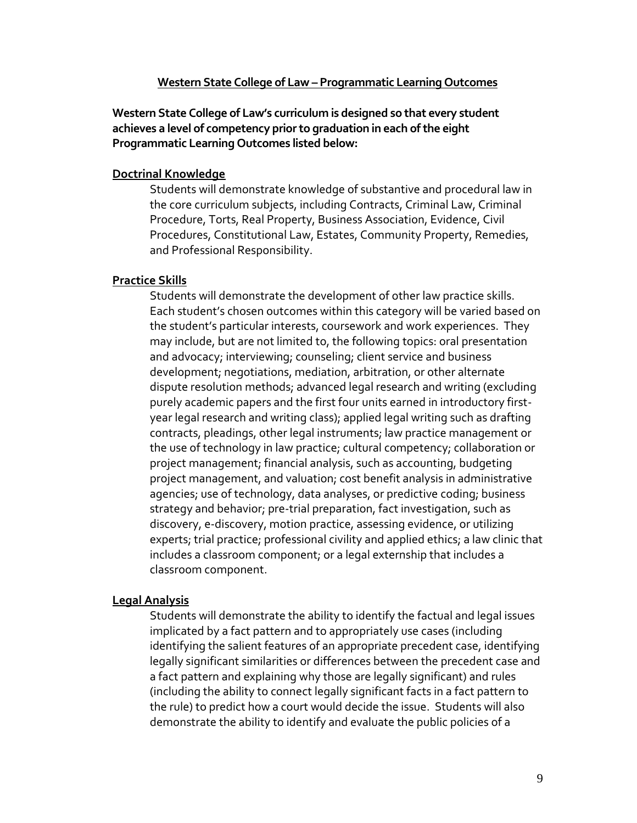#### **Western State College of Law – Programmatic Learning Outcomes**

**Western State College of Law's curriculum is designed so that every student achieves a level of competency prior to graduation in each of the eight Programmatic Learning Outcomes listed below:**

#### **Doctrinal Knowledge**

Students will demonstrate knowledge of substantive and procedural law in the core curriculum subjects, including Contracts, Criminal Law, Criminal Procedure, Torts, Real Property, Business Association, Evidence, Civil Procedures, Constitutional Law, Estates, Community Property, Remedies, and Professional Responsibility.

#### **Practice Skills**

Students will demonstrate the development of other law practice skills. Each student's chosen outcomes within this category will be varied based on the student's particular interests, coursework and work experiences. They may include, but are not limited to, the following topics: oral presentation and advocacy; interviewing; counseling; client service and business development; negotiations, mediation, arbitration, or other alternate dispute resolution methods; advanced legal research and writing (excluding purely academic papers and the first four units earned in introductory firstyear legal research and writing class); applied legal writing such as drafting contracts, pleadings, other legal instruments; law practice management or the use of technology in law practice; cultural competency; collaboration or project management; financial analysis, such as accounting, budgeting project management, and valuation; cost benefit analysis in administrative agencies; use of technology, data analyses, or predictive coding; business strategy and behavior; pre-trial preparation, fact investigation, such as discovery, e-discovery, motion practice, assessing evidence, or utilizing experts; trial practice; professional civility and applied ethics; a law clinic that includes a classroom component; or a legal externship that includes a classroom component.

### **Legal Analysis**

Students will demonstrate the ability to identify the factual and legal issues implicated by a fact pattern and to appropriately use cases (including identifying the salient features of an appropriate precedent case, identifying legally significant similarities or differences between the precedent case and a fact pattern and explaining why those are legally significant) and rules (including the ability to connect legally significant facts in a fact pattern to the rule) to predict how a court would decide the issue. Students will also demonstrate the ability to identify and evaluate the public policies of a